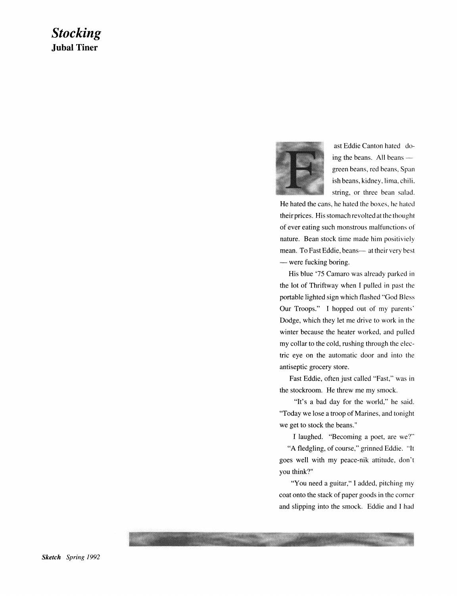## *Stocking*  **Jubal Tiner**



ast Eddie Canton hated doing the beans. All beans  $$ green beans, red beans, Span ish beans, kidney, lima, chili. string, or three bean salad.

He hated the cans, he hated the boxes, he hated their prices. His stomach revolted at the thought of ever eating such monstrous malfunctions of nature. Bean stock time made him positiviely mean. To Fast Eddie, beans- at their very best - were fucking boring.

His blue '75 Camaro was already parked in the lot of Thriftway when I pulled in past the portable lighted sign which flashed "God Bless Our Troops." I hopped out of my parents' Dodge, which they let me drive to work in the winter because the heater worked, and pulled my collar to the cold, rushing through the electric eye on the automatic door and into the antiseptic grocery store.

Fast Eddie, often just called "Fast," was in the stockroom. He threw me my smock.

"It's a bad day for the world," he said. "Today we lose a troop of Marines, and tonight we get to stock the beans."

I laughed. "Becoming a poet, are we?"

"A fledgling, of course," grinned Eddie. "It goes well with my peace-nik attitude, don't you think?"

"You need a guitar," I added, pitching my coat onto the stack of paper goods in the corner and slipping into the smock. Eddie and I had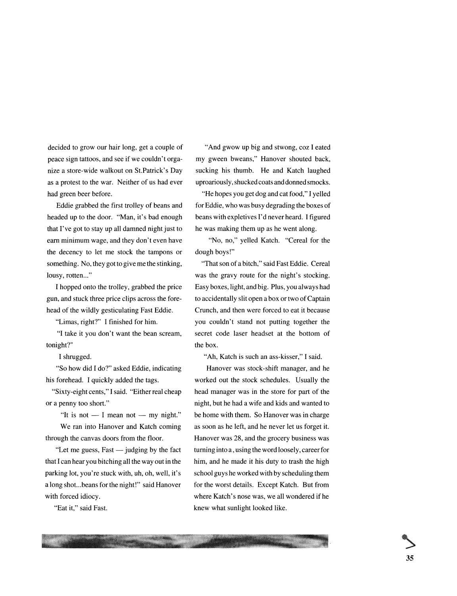decided to grow our hair long, get a couple of peace sign tattoos, and see if we couldn't organize a store-wide walkout on St.Patrick's Day as a protest to the war. Neither of us had ever had green beer before.

Eddie grabbed the first trolley of beans and headed up to the door. "Man, it's bad enough that I've got to stay up all damned night just to earn minimum wage, and they don't even have the decency to let me stock the tampons or something. No, they got to give me the stinking, lousy, rotten..."

I hopped onto the trolley, grabbed the price gun, and stuck three price clips across the forehead of the wildly gesticulating Fast Eddie.

"Limas, right?" I finished for him.

"I take it you don't want the bean scream, tonight?"

I shrugged.

"So how did I do?" asked Eddie, indicating his forehead. I quickly added the tags.

"Sixty-eight cents," I said. "Either real cheap or a penny too short."

"It is not  $-$  I mean not  $-$  my night." We ran into Hanover and Katch coming through the canvas doors from the floor.

"Let me guess,  $Fast - judging by the fact$ that I can hear you bitching all the way out in the parking lot, you're stuck with, uh, oh, well, it's a long shot... beans for the night!" said Hanover with forced idiocy.

"Eat it," said Fast.

"And gwow up big and stwong, coz I eated my gween bweans," Hanover shouted back, sucking his thumb. He and Katch laughed uproariously, shucked coats and donned smocks.

"He hopes you get dog and cat food," I yelled for Eddie, who was busy degrading the boxes of beans with expletives I'd never heard. I figured he was making them up as he went along.

"No, no," yelled Katch. "Cereal for the dough boys!"

"That son of a bitch," said Fast Eddie. Cereal was the gravy route for the night's stocking. Easy boxes, light, and big. Plus, you always had to accidentally slit open a box or two of Captain Crunch, and then were forced to eat it because you couldn't stand not putting together the secret code laser headset at the bottom of the box.

"Ah, Katch is such an ass-kisser," I said.

Hanover was stock-shift manager, and he worked out the stock schedules. Usually the head manager was in the store for part of the night, but he had a wife and kids and wanted to be home with them. So Hanover was in charge as soon as he left, and he never let us forget it. Hanover was 28, and the grocery business was turning into a, using the word loosely, career for him, and he made it his duty to trash the high school guys he worked with by scheduling them for the worst details. Except Katch. But from where Katch's nose was, we all wondered if he knew what sunlight looked like.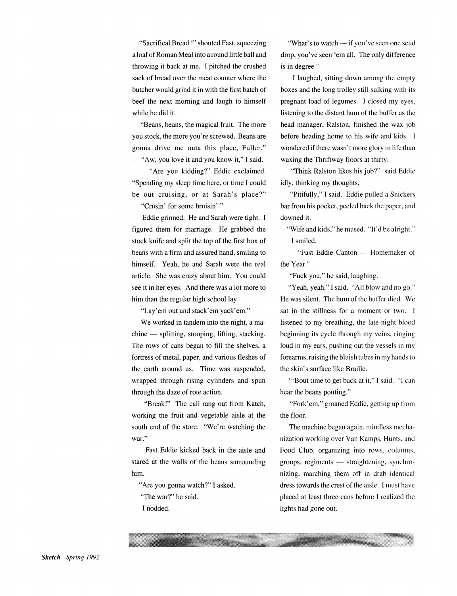"Sacrifical Bread !" shouted Fast, squeezing a loaf of Roman Meal into a round little ball and throwing it back at me. I pitched the crushed sack of bread over the meat counter where the butcher would grind it in with the first batch of beef the next morning and laugh to himself while he did it.

"Beans, beans, the magical fruit. The more you stock, the more you're screwed. Beans are gonna drive me outa this place, Fuller." "Aw, you love it and you know it," I said.

"Are you kidding?" Eddie exclaimed.

"Spending my sleep time here, or time I could be out cruising, or at Sarah's place?"

"Crusin' for some bruisin'."

Eddie grinned. He and Sarah were tight. I figured them for marriage. He grabbed the stock knife and split the top of the first box of beans with a firm and assured hand, smiling to himself. Yeah, he and Sarah were the real article. She was crazy about him. You could see it in her eyes. And there was a lot more to him than the regular high school lay.

"Lay' em out and stack' em yack' em."

We worked in tandem into the night, a machine — splitting, stooping, lifting, stacking. The rows of cans began to fill the shelves, a fortress of metal, paper, and various fleshes of the earth around us. Time was suspended, wrapped through rising cylinders and spun through the daze of rote action.

"Break!" The call rang out from Katch, working the fruit and vegetable aisle at the south end of the store. "We're watching the war."

Fast Eddie kicked back in the aisle and stared at the walls of the beans surrounding him.

"Are you gonna watch?" I asked. "The war?" he said.

I nodded.

"What's to watch — if you've seen one scud drop, you've seen 'em all. The only difference is in degree."

I laughed, sitting down among the empty boxes and the long trolley still sulking with its pregnant load of legumes. I closed my eyes, listening to the distant hum of the buffer as the head manager, Ralston, finished the wax job before heading home to his wife and kids. I wondered if there wasn't more glory in life than waxing the Thriftway floors at thirty.

"Think Ralston likes his job?" said Eddie idly, thinking my thoughts.

"Pitifully," I said. Eddie pulled a Snickers bar from his pocket, peeled back the paper, and downed it.

"Wife and kids," he mused. "It'd be alright." I smiled.

"Fast Eddie Canton - Homemaker of the Year."

"Fuck you," he said, laughing.

"Yeah, yeah," I said. "All blow and no go." He was silent. The hum of the buffer died. We sat in the stillness for a moment or two. I listened to my breathing, the late-night blood beginning its cycle through my veins, ringing loud in my ears, pushing out the vessels in my forearms, raising the bluish tubes in my hands to the skin's surface like Braille.

"'Bout time to get back at it," I said. "I can hear the beans pouting."

"Fork' em," groaned Eddie, getting up from the floor.

The machine began again, mindless mechanization working over Van Kamps, Hunts, and Food Club, organizing into rows, columns, groups, regiments  $-$  straightening, synchronizing, marching them off in drab identical dress towards the crest of the aisle. I must have placed at least three cans before I realized the lights had gone out.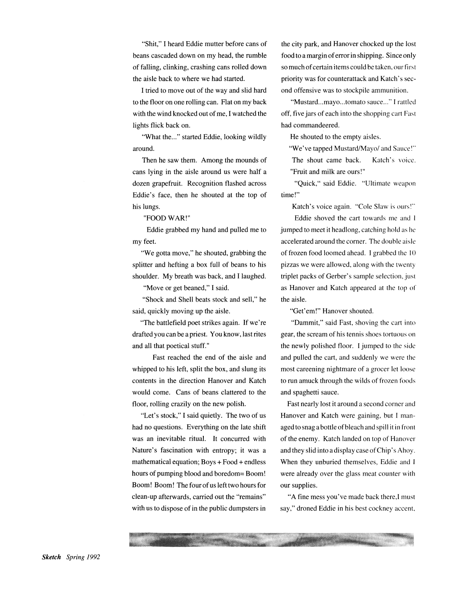"Shit," I heard Eddie mutter before cans of beans cascaded down on my head, the rumble of falling, clinking, crashing cans rolled down the aisle back to where we had started.

I tried to move out of the way and slid hard to the floor on one rolling can. Flat on my back with the wind knocked out of me, I watched the lights flick back on.

"What the..." started Eddie, looking wildly around.

Then he saw them. Among the mounds of cans lying in the aisle around us were half a dozen grapefruit. Recognition flashed across Eddie's face, then he shouted at the top of his lungs.

"FOOD WAR!"

Eddie grabbed my hand and pulled me to my feet.

"We gotta move," he shouted, grabbing the splitter and hefting a box full of beans to his shoulder. My breath was back, and I laughed.

"Move or get beaned," I said.

"Shock and Shell beats stock and sell," he said, quickly moving up fhe aisle.

"The battlefield poet strikes again. If we're drafted you can be a priest. You know, last rites and all that poetical stuff."

Fast reached the end of the aisle and whipped to his left, split the box, and slung its contents in the direction Hanover and Katch would come. Cans of beans clattered to the floor, rolling crazily on the new polish.

"Let's stock," I said quietly. The two of us had no questions. Everything on the late shift was an inevitable ritual. It concurred with Nature's fascination with entropy; it was a mathematical equation;  $Boys + Food + endless$ hours of pumping blood and boredom= Boom! Boom! Boom! The four of us left two hours for clean-up afterwards, carried out the "remains" with us to dispose of in the public dumpsters in

the city park, and Hanover chocked up the lost food to a margin of error in shipping. Since only so much of certain items could be taken, our first priority was for counterattack and Katch's second offensive was to stockpile ammunition.

"Mustard...mayo...tomato sauce..." I rattled off, five jars of each into the shopping cart Fast had commandeered.

He shouted to the empty aisles.

"We've tapped Mustard/Mayo/ and Sauce!"

The shout came back. "Fruit and milk are ours!" Katch's voice.

"Quick," said Eddie. "Ultimate weapon time!"

Katch's voice again. "Cole Slaw is ours!"

Eddie shoved the cart towards me and 1 jumped to meet it headlong, catching hold as he accelerated around the corner. The double aisle of frozen food loomed ahead. I grabbed the 10 pizzas we were allowed, along with the twenty triplet packs of Gerber's sample selection, just as Hanover and Katch appeared at the top of the aisle.

"Get'em!" Hanover shouted.

"Dammit," said Fast, shoving the cart into gear, the scream of his tennis shoes tortuous on the newly polished floor. I jumped to the side and pulled the cart, and suddenly we were the most careening nightmare of a grocer let loose to run amuck through the wilds of frozen foods and spaghetti sauce.

Fast nearly lost it around a second corner and Hanover and Katch were gaining, but I managed to snag a bottle of bleach and spill it in front of the enemy. Katch landed on top of Hanover and they slid into a display case of Chip's Ahoy. When they unburied themselves, Eddie and I were already over the glass meat counter with our supplies.

"A fine mess you've made back there, I must say," droned Eddie in his best cockney accent.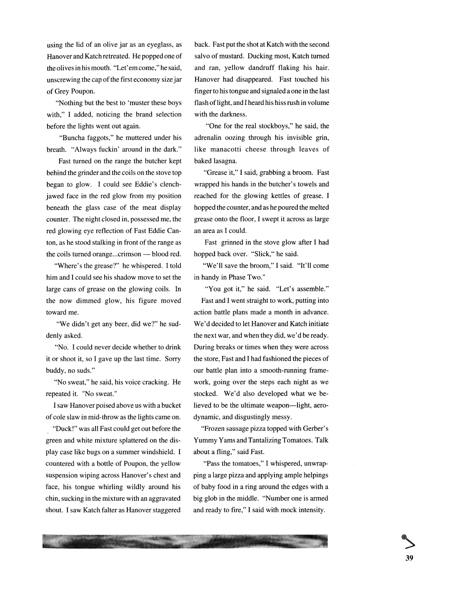using the lid of an olive jar as an eyeglass, as Hanover and Katch retreated. He popped one of the olives in his mouth. "Let' em come," he said, unscrewing the cap of the first economy size jar of Grey Poupon.

"Nothing but the best to 'muster these boys with," I added, noticing the brand selection before the lights went out again.

"Buncha faggots," he muttered under his breath. "Always fuckin' around in the dark."

Fast turned on the range the butcher kept behind the grinder and the coils on the stove top began to glow. I could see Eddie's clenchjawed face in the red glow from my position beneath the glass case of the meat display counter. The night closed in, possessed me, the red glowing eye reflection of Fast Eddie Canton, as he stood stalking in front of the range as the coils turned orange... crimson — blood red.

"Where's the grease?" he whispered. I told him and I could see his shadow move to set the large cans of grease on the glowing coils. In the now dimmed glow, his figure moved toward me.

"We didn't get any beer, did we?" he suddenly asked.

"No. I could never decide whether to drink it or shoot it, so I gave up the last time. Sorry buddy, no suds."

"No sweat," he said, his voice cracking. He repeated it. "No sweat."

I saw Hanover poised above us with a bucket of coleslaw in mid-throw as the lights came on.

"Duck!" was all Fast could get out before the green and white mixture splattered on the display case like bugs on a summer windshield. I countered with a bottle of Poupon, the yellow suspension wiping across Hanover's chest and face, his tongue whirling wildly around his chin, sucking in the mixture with an aggravated shout. I saw Katch falter as Hanover staggered back. Fast put the shot at Katch with the second salvo of mustard. Ducking most, Katch turned and ran, yellow dandruff flaking his hair. Hanover had disappeared. Fast touched his finger to his tongue and signaled a one in the last flash of light, and I heard his hiss rush in volume with the darkness.

"One for the real stockboys," he said, the adrenalin oozing through his invisible grin, like manacotti cheese through leaves of baked lasagna.

"Grease it," I said, grabbing a broom. Fast wrapped his hands in the butcher's towels and reached for the glowing kettles of grease. I hopped the counter, and as he poured the melted grease onto the floor, I swept it across as large an area as I could.

Fast grinned in the stove glow after I had hopped back over. "Slick," he said.

"We'll save the broom," I said. "It'll come in handy in Phase Two."

"You got it," he said. "Let's assemble." Fast and I went straight to work, putting into action battle plans made a month in advance. We'd decided to let Hanover and Katch initiate the next war, and when they did, we'd be ready. During breaks or times when they were across the store, Fast and I had fashioned the pieces of our battle plan into a smooth-running framework, going over the steps each night as we stocked. We'd also developed what we believed to be the ultimate weapon—light, aerodynamic, and disgustingly messy.

"Frozen sausage pizza topped with Gerber's Yummy Yams and Tantalizing Tomatoes. Talk about a fling," said Fast.

"Pass the tomatoes," I whispered, unwrapping a large pizza and applying ample helpings of baby food in a ring around the edges with a big glob in the middle. "Number one is armed and ready to fire," I said with mock intensity.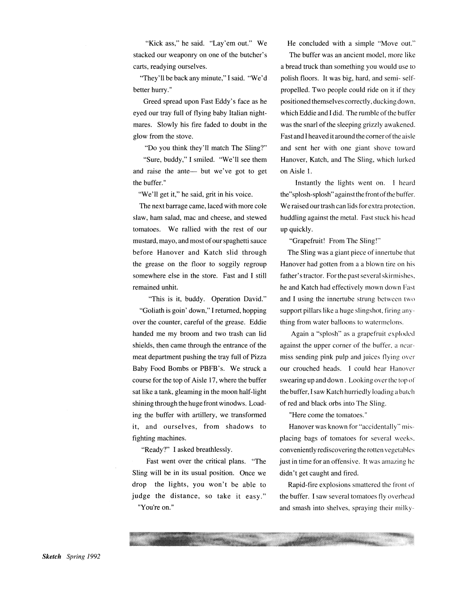"Kick ass," he said. "Lay'em out." We stacked our weaponry on one of the butcher's carts, readying ourselves.

"They'll be back any minute," I said. "We'd better hurry."

Greed spread upon Fast Eddy's face as he eyed our tray full of flying baby Italian nightmares. Slowly his fire faded to doubt in the glow from the stove.

"Do you think they'll match The Sling?" "Sure, buddy," I smiled. "We'll see them and raise the ante— but we've got to get the buffer."

"We'll get it," he said, grit in his voice.

The next barrage came, laced with more cole slaw, ham salad, mac and cheese, and stewed tomatoes. We rallied with the rest of our mustard, mayo, and most of our spaghetti sauce before Hanover and Katch slid through the grease on the floor to soggily regroup somewhere else in the store. Fast and I still remained unhit.

"This is it, buddy. Operation David." "Goliath is goin' down," I returned, hopping over the counter, careful of the grease. Eddie handed me my broom and two trash can lid shields, then came through the entrance of the meat department pushing the tray full of Pizza Baby Food Bombs or PBFB's. We struck a course for the top of Aisle 17, where the buffer sat like a tank, gleaming in the moon half-light shining through the huge front winodws. Loading the buffer with artillery, we transformed it, and ourselves, from shadows to fighting machines.

"Ready?" I asked breathlessly.

Fast went over the critical plans. "The Sling will be in its usual position. Once we drop the lights, you won't be able to judge the distance, so take it easy." "You're on."

He concluded with a simple "Move out."

The buffer was an ancient model, more like a bread truck than something you would use to polish floors. It was big, hard, and semi- selfpropelled. Two people could ride on it if they positioned themselves correctly, ducking down, which Eddie and I did. The rumble of the buffer was the snarl of the sleeping grizzly awakened. Fast and I heaved it around the corner of the aisle and sent her with one giant shove toward Hanover, Katch, and The Sling, which lurked on Aisle 1.

Instantly the lights went on. I heard the"splosh-splosh" against the front of the buffer. We raised our trash can lids for extra protection, huddling against the metal. Fast stuck his head up quickly.

"Grapefruit! From The Sling!"

The Sling was a giant piece of innertube that Hanover had gotten from a a blown tire on his father's tractor. For the past several skirmishes. he and Katch had effectively mown down Fast and I using the innertube strung between two support pillars like a huge slingshot, firing anything from water balloons to watermelons.

Again a "splosh" as a grapefruit exploded against the upper corner of the buffer. a nearmiss sending pink pulp and juices flying over our crouched heads. I could hear Hanover swearing up and down. Looking over the top or the buffer, I saw Katch hurriedly loading a batch of red and black orbs into The Sling.

"Here come the tomatoes."

Hanover was known for "accidentally" misplacing bags of tomatoes for several weeks. conveniently rediscovering the rotten vegetables just in time for an offensive. It was amazing he didn't get caught and fired.

Rapid-fire explosions smattered the front of the buffer. I saw several tomatoes fly overhead and smash into shelves, spraying their milky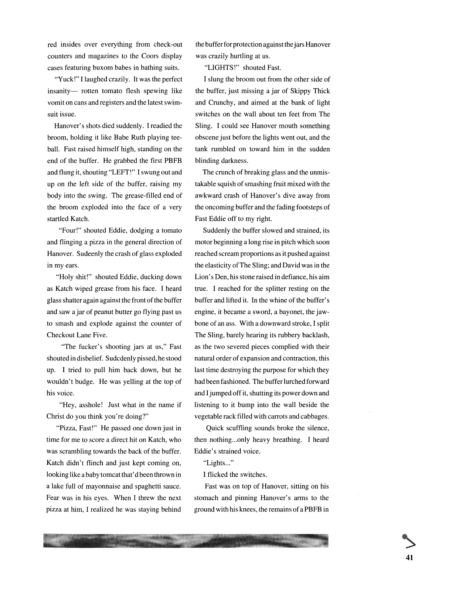red insides over everything from check-out counters and magazines to the Coors display cases featuring buxom babes in bathing suits.

"Yuck!" I laughed crazily. It was the perfect insanity- rotten tomato flesh spewing like vomit on cans and registers and the latest swimsuit issue.

Hanover's shots died suddenly. I readied the broom, holding it like Babe Ruth playing teeball. Fast raised himself high, standing on the end of the buffer. He grabbed the first PBFB and flung it, shouting "LEFf!" I swung out and up on the left side of the buffer, raising my body into the swing. The grease-filled end of the broom exploded into the face of a very startled Katch.

"Four!" shouted Eddie, dodging a tomato and flinging a pizza in the general direction of Hanover. Sudeenly the crash of glass exploded in my ears.

"Holy shit!" shouted Eddie, ducking down as Katch wiped grease from his face. I heard glass shatter again against the front of the buffer and saw a jar of peanut butter go flying past us to smash and explode against the counter of Checkout Lane Five.

"The fucker's shooting jars at us," Fast shouted in disbelief. Sudcdenly pissed, he stood up. I tried to pull him back down, but he wouldn't budge. He was yelling at the top of his voice.

"Hey, asshole! Just what in the name if Christ do you think you're doing?"

"Pizza, Fast!" He passed one down just in time for me to score a direct hit on Katch, who was scrambling towards the back of the buffer. Katch didn't flinch and just kept coming on, looking like a baby tomcat that'd been thrown in a lake full of mayonnaise and spaghetti sauce. Fear was in his eyes. When I threw the next pizza at him, I realized he was staying behind the buffer for protection against the jars Hanover was crazily hurtling at us.

"LIGHTS!" shouted Fast.

I slung the broom out from the other side of the buffer, just missing a jar of Skippy Thick and Crunchy, and aimed at the bank of light switches on the wall about ten feet from The Sling. I could see Hanover mouth something obscene just before the lights went out, and the tank rumbled on toward him in the sudden blinding darkness.

The crunch of breaking glass and the unmistakable squish of smashing fruit mixed with the awkward crash of Hanover's dive away from the oncoming buffer and the fading footsteps of Fast Eddie off to my right.

Suddenly the buffer slowed and strained, its motor beginning a long rise in pitch which soon reached scream proportions as it pushed against the elasticity of The Sling; and David was in the Lion's Den, his stone raised in defiance, his aim true. I reached for the splitter resting on the buffer and lifted it. In the whine of the buffer's engine, it became a sword, a bayonet, the jawbone of an ass. With a downward stroke, I split The Sling, barely hearing its rubbery backlash, as the two severed pieces complied with their natural order of expansion and contraction, this last time destroying the purpose for which they had been fashioned. The buffer lurched forward and I jumped off it, shutting its power down and listening to it bump into the wall beside the vegetable rack filled with carrots and cabbages.

Quick scuffling sounds broke the silence, then nothing...only heavy breathing. I heard Eddie's strained voice.

"Lights..."

I flicked the switches.

Fast was on top of Hanover, sitting on his stomach and pinning Hanover's arms to the ground with his knees, the remains of a PBFB in